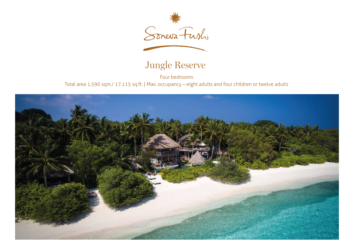

## Jungle Reserve

Four bedrooms Total area 1,590 sqm./ 17,115 sq.ft. | Max. occupancy – eight adults and four children or twelve adults

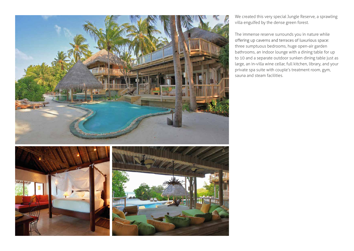

We created this very special Jungle Reserve, a sprawling villa engulfed by the dense green forest.

The immense reserve surrounds you in nature while offering up caverns and terraces of luxurious space: three sumptuous bedrooms, huge open-air garden bathrooms, an indoor lounge with a dining table for up to 10 and a separate outdoor sunken dining table just as large, an in-villa wine cellar, full kitchen, library, and your private spa suite with couple's treatment room, gym, sauna and steam facilities.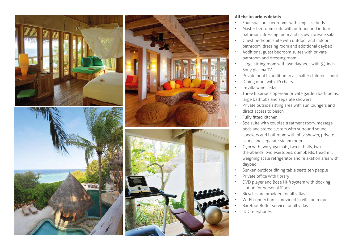



## **All the luxurious details**

- Four spacious bedrooms with king size beds
- Master bedroom suite with outdoor and indoor bathroom, dressing room and its own private sala
- Guest bedroom suite with outdoor and indoor bathroom, dressing room and additional daybed
- Additional guest bedroom suites with private bathroom and dressing room
- Large sitting room with two daybeds with 55 inch Sony plasma TV
- Private pool in addition to a smaller children's pool
- Dining room with 10 chairs
- In-villa wine cellar
- Three luxurious open-air private garden bathrooms, large bathtubs and separate showers
- Private outside sitting area with sun loungers and direct access to beach
- Fully fitted kitchen •
- Spa suite with couples treatment room, massage beds and stereo system with surround sound speakers and bathroom with blitz shower, private sauna and separate steam room
- Gym with two yoga mats, two fit balls, two • therabands, two exertubes, dumbbells, treadmill , weighing scale refrigerator and relaxation area with daybed
- Sunken outdoor dining table seats ten people
- Private office with library •
- DVD player and Bose Hi-fi system with docking • station for personal iPods
- Bicycles are provided for all villas
- Wi-Fi connection is provided in villa on request
- Barefoot Butler service for all villas
- IDD telephones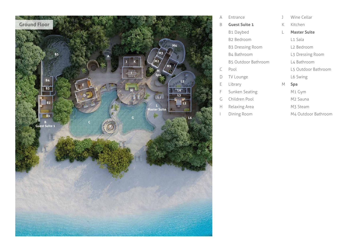

| A  | Entrance                   | $\overline{\phantom{a}}$ | Wine Cellar          |
|----|----------------------------|--------------------------|----------------------|
| B  | <b>Guest Suite 1</b>       | K                        | Kitchen              |
|    | B1 Daybed                  | L                        | <b>Master Suite</b>  |
|    | B <sub>2</sub> Bedroom     |                          | L1 Sala              |
|    | <b>B3 Dressing Room</b>    |                          | L2 Bedroom           |
|    | B4 Bathroom                |                          | L3 Dressing Room     |
|    | <b>B5 Outdoor Bathroom</b> |                          | L4 Bathroom          |
| C  | Pool                       |                          | L5 Outdoor Bathroom  |
| D  | TV Lounge                  |                          | L6 Swing             |
| Ε  | Library                    | М                        | <b>Spa</b>           |
| F  | Sunken Seating             |                          | M1 Gym               |
| G  | Children Pool              |                          | M <sub>2</sub> Sauna |
| H. | Relaxing Area              |                          | M3 Steam             |
|    | Dining Room                |                          | M4 Outdoor Bathroom  |
|    |                            |                          |                      |